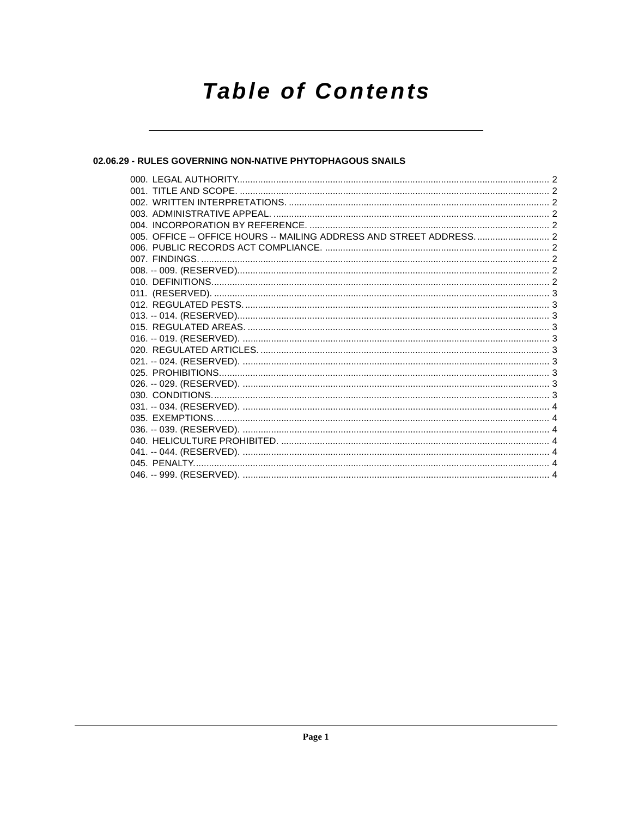# **Table of Contents**

# 02.06.29 - RULES GOVERNING NON-NATIVE PHYTOPHAGOUS SNAILS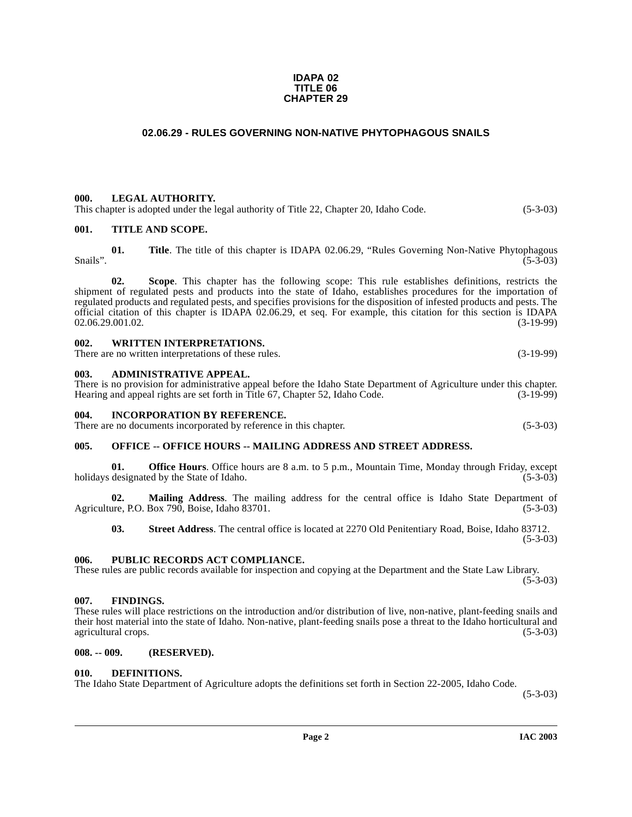#### **IDAPA 02 TITLE 06 CHAPTER 29**

# **02.06.29 - RULES GOVERNING NON-NATIVE PHYTOPHAGOUS SNAILS**

#### <span id="page-1-1"></span><span id="page-1-0"></span>**000. LEGAL AUTHORITY.**

This chapter is adopted under the legal authority of Title 22, Chapter 20, Idaho Code. (5-3-03)

#### <span id="page-1-2"></span>**001. TITLE AND SCOPE.**

**01. Title**. The title of this chapter is IDAPA 02.06.29, "Rules Governing Non-Native Phytophagous Snails".  $(5-3-03)$ 

**02. Scope**. This chapter has the following scope: This rule establishes definitions, restricts the shipment of regulated pests and products into the state of Idaho, establishes procedures for the importation of regulated products and regulated pests, and specifies provisions for the disposition of infested products and pests. The official citation of this chapter is IDAPA 02.06.29, et seq. For example, this citation for this section is IDAPA 02.06.29.001.02.<br>(3-19-99) 02.06.29.001.02.

#### <span id="page-1-3"></span>**002. WRITTEN INTERPRETATIONS.**

There are no written interpretations of these rules. (3-19-99)

#### <span id="page-1-4"></span>**003. ADMINISTRATIVE APPEAL.**

There is no provision for administrative appeal before the Idaho State Department of Agriculture under this chapter. Hearing and appeal rights are set forth in Title 67, Chapter 52, Idaho Code. (3-19-99)

# <span id="page-1-5"></span>**004. INCORPORATION BY REFERENCE.**

There are no documents incorporated by reference in this chapter. (5-3-03)

#### <span id="page-1-6"></span>**005. OFFICE -- OFFICE HOURS -- MAILING ADDRESS AND STREET ADDRESS.**

**01. Office Hours**. Office hours are 8 a.m. to 5 p.m., Mountain Time, Monday through Friday, except designated by the State of Idaho. (5-3-03) holidays designated by the State of Idaho.

**02. Mailing Address**. The mailing address for the central office is Idaho State Department of Agriculture, P.O. Box 790, Boise, Idaho 83701. (5-3-03)

**03. Street Address**. The central office is located at 2270 Old Penitentiary Road, Boise, Idaho 83712. (5-3-03)

#### <span id="page-1-7"></span>**006. PUBLIC RECORDS ACT COMPLIANCE.**

These rules are public records available for inspection and copying at the Department and the State Law Library.  $(5-3-03)$ 

#### <span id="page-1-8"></span>**007. FINDINGS.**

These rules will place restrictions on the introduction and/or distribution of live, non-native, plant-feeding snails and their host material into the state of Idaho. Non-native, plant-feeding snails pose a threat to the Idaho horticultural and agricultural crops. (5-3-03) agricultural crops.

#### <span id="page-1-9"></span>**008. -- 009. (RESERVED).**

#### <span id="page-1-11"></span><span id="page-1-10"></span>**010. DEFINITIONS.**

The Idaho State Department of Agriculture adopts the definitions set forth in Section 22-2005, Idaho Code.

(5-3-03)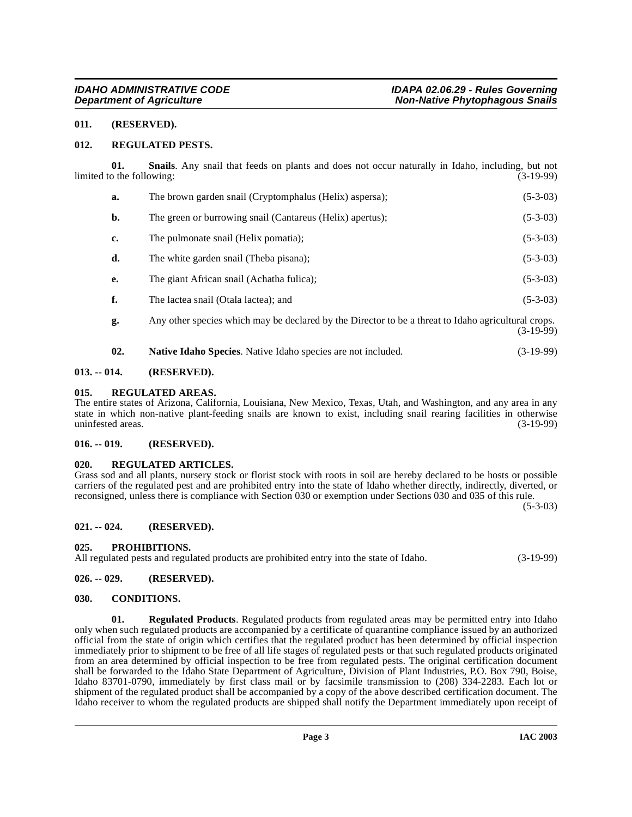### <span id="page-2-0"></span>**011. (RESERVED).**

#### <span id="page-2-15"></span><span id="page-2-1"></span>**012. REGULATED PESTS.**

**01. Snails**. Any snail that feeds on plants and does not occur naturally in Idaho, including, but not limited to the following: (3-19-99)

<span id="page-2-17"></span>

| a. | The brown garden snail (Cryptomphalus (Helix) aspersa);                                                          | $(5-3-03)$ |
|----|------------------------------------------------------------------------------------------------------------------|------------|
| b. | The green or burrowing snail (Cantareus (Helix) apertus);                                                        | $(5-3-03)$ |
| c. | The pulmonate snail (Helix pomatia);                                                                             | $(5-3-03)$ |
| d. | The white garden snail (Theba pisana);                                                                           | $(5-3-03)$ |
| e. | The giant African snail (Achatha fulica);                                                                        | $(5-3-03)$ |
| f. | The lactea snail (Otala lactea); and                                                                             | $(5-3-03)$ |
| g. | Any other species which may be declared by the Director to be a threat to Idaho agricultural crops.<br>(3-19-99) |            |

#### <span id="page-2-13"></span><span id="page-2-11"></span>**02. Native Idaho Species**. Native Idaho species are not included. (3-19-99)

#### <span id="page-2-2"></span>**013. -- 014. (RESERVED).**

#### <span id="page-2-3"></span>**015. REGULATED AREAS.**

The entire states of Arizona, California, Louisiana, New Mexico, Texas, Utah, and Washington, and any area in any state in which non-native plant-feeding snails are known to exist, including snail rearing facilities in otherwise<br>(3-19-99) (3-19-99) uninfested areas.

#### <span id="page-2-4"></span>**016. -- 019. (RESERVED).**

#### <span id="page-2-14"></span><span id="page-2-5"></span>**020. REGULATED ARTICLES.**

Grass sod and all plants, nursery stock or florist stock with roots in soil are hereby declared to be hosts or possible carriers of the regulated pest and are prohibited entry into the state of Idaho whether directly, indirectly, diverted, or reconsigned, unless there is compliance with Section 030 or exemption under Sections 030 and 035 of this rule.

(5-3-03)

#### <span id="page-2-6"></span>**021. -- 024. (RESERVED).**

#### <span id="page-2-12"></span><span id="page-2-7"></span>**025. PROHIBITIONS.**

All regulated pests and regulated products are prohibited entry into the state of Idaho. (3-19-99)

#### <span id="page-2-8"></span>**026. -- 029. (RESERVED).**

#### <span id="page-2-10"></span><span id="page-2-9"></span>**030. CONDITIONS.**

<span id="page-2-16"></span>**01. Regulated Products**. Regulated products from regulated areas may be permitted entry into Idaho only when such regulated products are accompanied by a certificate of quarantine compliance issued by an authorized official from the state of origin which certifies that the regulated product has been determined by official inspection immediately prior to shipment to be free of all life stages of regulated pests or that such regulated products originated from an area determined by official inspection to be free from regulated pests. The original certification document shall be forwarded to the Idaho State Department of Agriculture, Division of Plant Industries, P.O. Box 790, Boise, Idaho 83701-0790, immediately by first class mail or by facsimile transmission to (208) 334-2283. Each lot or shipment of the regulated product shall be accompanied by a copy of the above described certification document. The Idaho receiver to whom the regulated products are shipped shall notify the Department immediately upon receipt of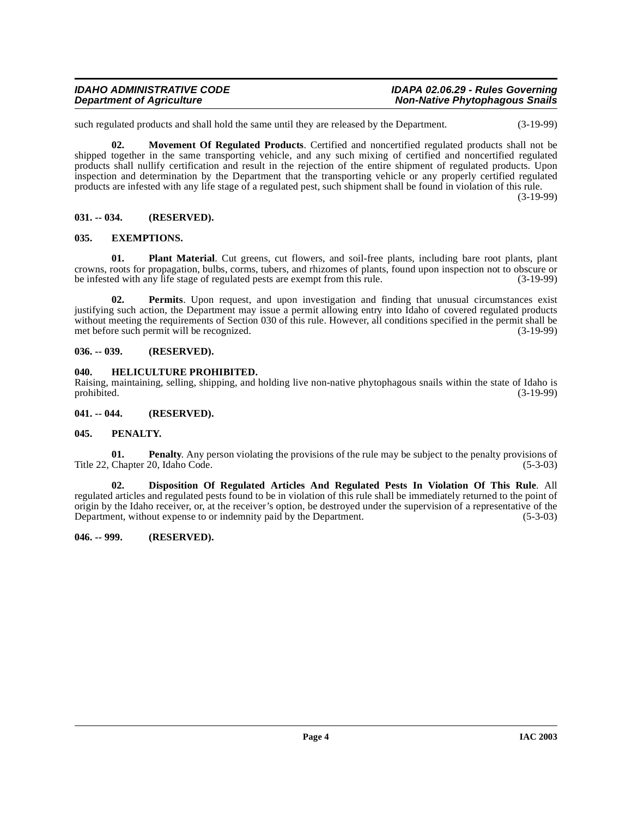such regulated products and shall hold the same until they are released by the Department. (3-19-99)

<span id="page-3-10"></span>**02. Movement Of Regulated Products**. Certified and noncertified regulated products shall not be shipped together in the same transporting vehicle, and any such mixing of certified and noncertified regulated products shall nullify certification and result in the rejection of the entire shipment of regulated products. Upon inspection and determination by the Department that the transporting vehicle or any properly certified regulated products are infested with any life stage of a regulated pest, such shipment shall be found in violation of this rule.

(3-19-99)

### <span id="page-3-0"></span>**031. -- 034. (RESERVED).**

### <span id="page-3-8"></span><span id="page-3-1"></span>**035. EXEMPTIONS.**

<span id="page-3-13"></span>**01. Plant Material**. Cut greens, cut flowers, and soil-free plants, including bare root plants, plant crowns, roots for propagation, bulbs, corms, tubers, and rhizomes of plants, found upon inspection not to obscure or be infested with any life stage of regulated pests are exempt from this rule. (3-19-99)

<span id="page-3-12"></span>**02. Permits**. Upon request, and upon investigation and finding that unusual circumstances exist justifying such action, the Department may issue a permit allowing entry into Idaho of covered regulated products without meeting the requirements of Section 030 of this rule. However, all conditions specified in the permit shall be met before such permit will be recognized. (3-19-99)

### <span id="page-3-2"></span>**036. -- 039. (RESERVED).**

### <span id="page-3-9"></span><span id="page-3-3"></span>**040. HELICULTURE PROHIBITED.**

Raising, maintaining, selling, shipping, and holding live non-native phytophagous snails within the state of Idaho is prohibited. (3-19-99) prohibited. (3-19-99)

#### <span id="page-3-4"></span>**041. -- 044. (RESERVED).**

### <span id="page-3-11"></span><span id="page-3-5"></span>**045. PENALTY.**

**01. Penalty**. Any person violating the provisions of the rule may be subject to the penalty provisions of Title 22, Chapter 20, Idaho Code. (5-3-03)

<span id="page-3-7"></span>**02. Disposition Of Regulated Articles And Regulated Pests In Violation Of This Rule**. All regulated articles and regulated pests found to be in violation of this rule shall be immediately returned to the point of origin by the Idaho receiver, or, at the receiver's option, be destroyed under the supervision of a representative of the Department, without expense to or indemnity paid by the Department. (5-3-03)

#### <span id="page-3-6"></span>**046. -- 999. (RESERVED).**